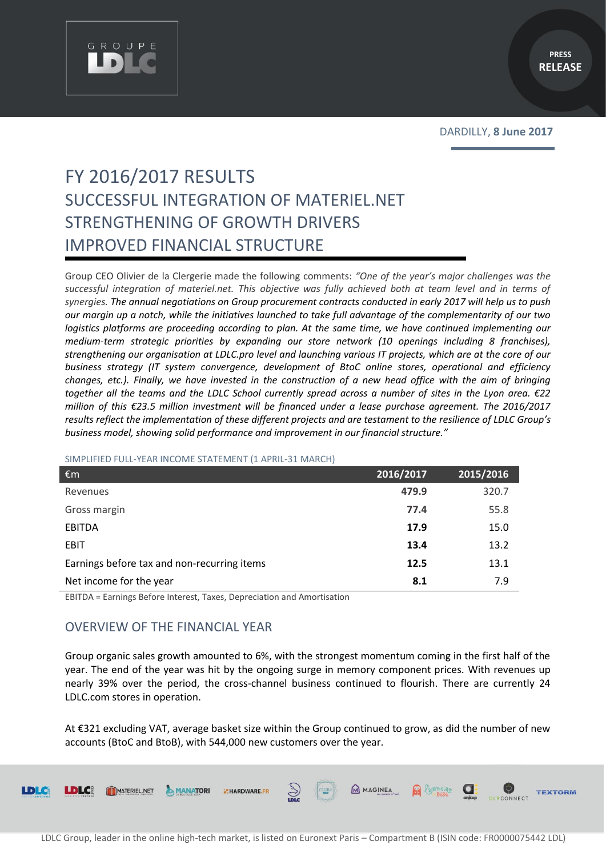

# FY 2016/2017 RESULTS SUCCESSFUL INTEGRATION OF MATERIEL.NET STRENGTHENING OF GROWTH DRIVERS IMPROVED FINANCIAL STRUCTURE

Group CEO Olivier de la Clergerie made the following comments: *"One of the year's major challenges was the successful integration of materiel.net. This objective was fully achieved both at team level and in terms of synergies. The annual negotiations on Group procurement contracts conducted in early 2017 will help us to push our margin up a notch, while the initiatives launched to take full advantage of the complementarity of our two logistics platforms are proceeding according to plan. At the same time, we have continued implementing our medium-term strategic priorities by expanding our store network (10 openings including 8 franchises), strengthening our organisation at LDLC.pro level and launching various IT projects, which are at the core of our business strategy (IT system convergence, development of BtoC online stores, operational and efficiency changes, etc.). Finally, we have invested in the construction of a new head office with the aim of bringing together all the teams and the LDLC School currently spread across a number of sites in the Lyon area. €22 million of this €23.5 million investment will be financed under a lease purchase agreement. The 2016/2017 results reflect the implementation of these different projects and are testament to the resilience of LDLC Group's business model, showing solid performance and improvement in our financial structure."* 

#### SIMPLIFIED FULL-YEAR INCOME STATEMENT (1 APRIL-31 MARCH)

| €m                                          | 2016/2017 | 2015/2016 |
|---------------------------------------------|-----------|-----------|
| Revenues                                    | 479.9     | 320.7     |
| Gross margin                                | 77.4      | 55.8      |
| <b>EBITDA</b>                               | 17.9      | 15.0      |
| <b>EBIT</b>                                 | 13.4      | 13.2      |
| Earnings before tax and non-recurring items | 12.5      | 13.1      |
| Net income for the year                     | 8.1       | 7.9       |

EBITDA = Earnings Before Interest, Taxes, Depreciation and Amortisation

## OVERVIEW OF THE FINANCIAL YEAR

MANATORI

**EMARDWARE** 

**LDLC** 

MATERIEL.NET

Group organic sales growth amounted to 6%, with the strongest momentum coming in the first half of the year. The end of the year was hit by the ongoing surge in memory component prices. With revenues up nearly 39% over the period, the cross-channel business continued to flourish. There are currently 24 LDLC.com stores in operation.

At €321 excluding VAT, average basket size within the Group continued to grow, as did the number of new accounts (BtoC and BtoB), with 544,000 new customers over the year.

E COLE

M MAGINEA **R** L'ORINOLEO **C** 

**TEXTORM**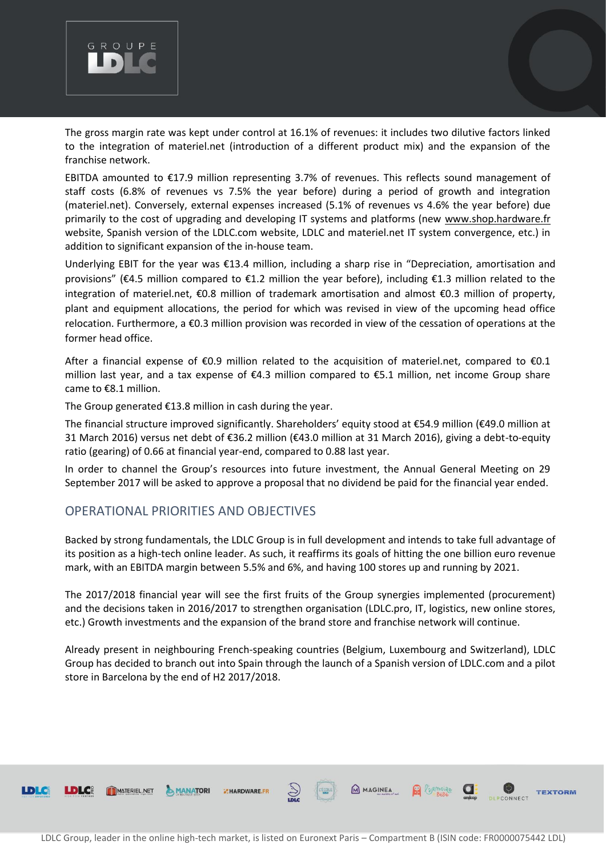

The gross margin rate was kept under control at 16.1% of revenues: it includes two dilutive factors linked to the integration of materiel.net (introduction of a different product mix) and the expansion of the franchise network.

EBITDA amounted to €17.9 million representing 3.7% of revenues. This reflects sound management of staff costs (6.8% of revenues vs 7.5% the year before) during a period of growth and integration (materiel.net). Conversely, external expenses increased (5.1% of revenues vs 4.6% the year before) due primarily to the cost of upgrading and developing IT systems and platforms (new [www.shop.hardware.fr](http://www.shop.hardware.fr/) website, Spanish version of the LDLC.com website, LDLC and materiel.net IT system convergence, etc.) in addition to significant expansion of the in-house team.

Underlying EBIT for the year was €13.4 million, including a sharp rise in "Depreciation, amortisation and provisions" (€4.5 million compared to €1.2 million the year before), including €1.3 million related to the integration of materiel.net, €0.8 million of trademark amortisation and almost €0.3 million of property, plant and equipment allocations, the period for which was revised in view of the upcoming head office relocation. Furthermore, a €0.3 million provision was recorded in view of the cessation of operations at the former head office.

After a financial expense of €0.9 million related to the acquisition of materiel.net, compared to €0.1 million last year, and a tax expense of €4.3 million compared to €5.1 million, net income Group share came to €8.1 million.

The Group generated €13.8 million in cash during the year.

The financial structure improved significantly. Shareholders' equity stood at €54.9 million (€49.0 million at 31 March 2016) versus net debt of €36.2 million (€43.0 million at 31 March 2016), giving a debt-to-equity ratio (gearing) of 0.66 at financial year-end, compared to 0.88 last year.

In order to channel the Group's resources into future investment, the Annual General Meeting on 29 September 2017 will be asked to approve a proposal that no dividend be paid for the financial year ended.

### OPERATIONAL PRIORITIES AND OBJECTIVES

**LDLC** 

MATERIEL NET

MANATORI

HARDWARE.FR

Backed by strong fundamentals, the LDLC Group is in full development and intends to take full advantage of its position as a high-tech online leader. As such, it reaffirms its goals of hitting the one billion euro revenue mark, with an EBITDA margin between 5.5% and 6%, and having 100 stores up and running by 2021.

The 2017/2018 financial year will see the first fruits of the Group synergies implemented (procurement) and the decisions taken in 2016/2017 to strengthen organisation (LDLC.pro, IT, logistics, new online stores, etc.) Growth investments and the expansion of the brand store and franchise network will continue.

Already present in neighbouring French-speaking countries (Belgium, Luxembourg and Switzerland), LDLC Group has decided to branch out into Spain through the launch of a Spanish version of LDLC.com and a pilot store in Barcelona by the end of H2 2017/2018.

**R** CORMOLAGE

a:

**TEXTORM**